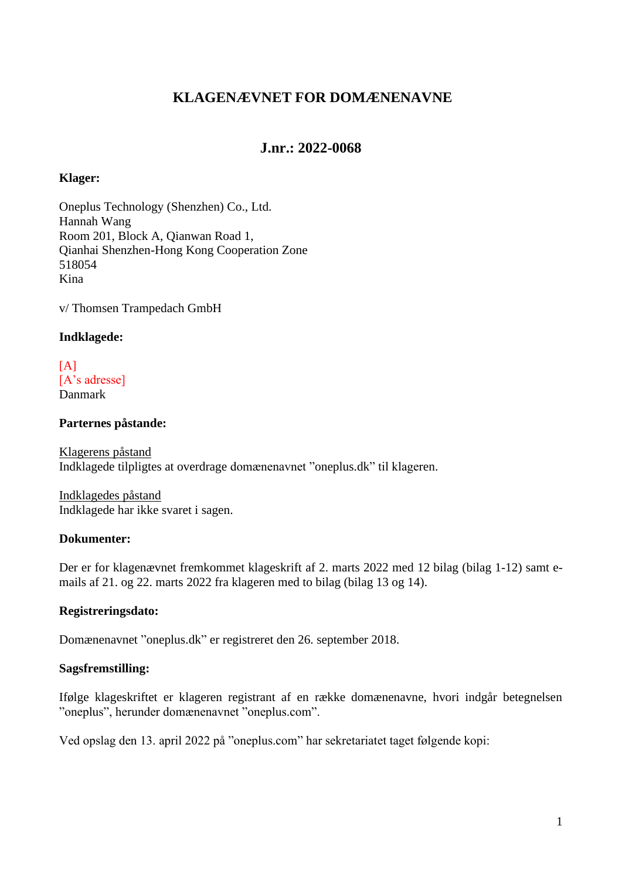## **KLAGENÆVNET FOR DOMÆNENAVNE**

### **J.nr.: 2022-0068**

#### **Klager:**

Oneplus Technology (Shenzhen) Co., Ltd. Hannah Wang Room 201, Block A, Qianwan Road 1, Qianhai Shenzhen-Hong Kong Cooperation Zone 518054 Kina

v/ Thomsen Trampedach GmbH

#### **Indklagede:**

#### $[A]$ [A's adresse] Danmark

#### **Parternes påstande:**

Klagerens påstand Indklagede tilpligtes at overdrage domænenavnet "oneplus.dk" til klageren.

Indklagedes påstand Indklagede har ikke svaret i sagen.

#### **Dokumenter:**

Der er for klagenævnet fremkommet klageskrift af 2. marts 2022 med 12 bilag (bilag 1-12) samt emails af 21. og 22. marts 2022 fra klageren med to bilag (bilag 13 og 14).

#### **Registreringsdato:**

Domænenavnet "oneplus.dk" er registreret den 26. september 2018.

#### **Sagsfremstilling:**

Ifølge klageskriftet er klageren registrant af en række domænenavne, hvori indgår betegnelsen "oneplus", herunder domænenavnet "oneplus.com".

Ved opslag den 13. april 2022 på "oneplus.com" har sekretariatet taget følgende kopi: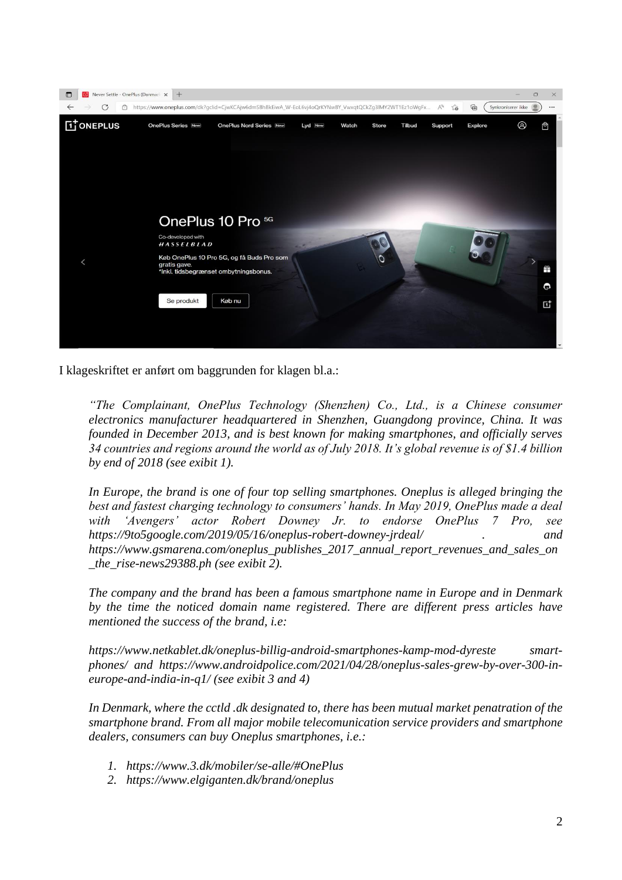

I klageskriftet er anført om baggrunden for klagen bl.a.:

*"The Complainant, OnePlus Technology (Shenzhen) Co., Ltd., is a Chinese consumer electronics manufacturer headquartered in Shenzhen, Guangdong province, China. It was founded in December 2013, and is best known for making smartphones, and officially serves 34 countries and regions around the world as of July 2018. It's global revenue is of \$1.4 billion by end of 2018 (see exibit 1).*

*In Europe, the brand is one of four top selling smartphones. Oneplus is alleged bringing the best and fastest charging technology to consumers' hands. In May 2019, OnePlus made a deal with 'Avengers' actor Robert Downey Jr. to endorse OnePlus 7 Pro, see https://9to5google.com/2019/05/16/oneplus-robert-downey-jrdeal/ . and https://www.gsmarena.com/oneplus\_publishes\_2017\_annual\_report\_revenues\_and\_sales\_on \_the\_rise-news29388.ph (see exibit 2).*

*The company and the brand has been a famous smartphone name in Europe and in Denmark by the time the noticed domain name registered. There are different press articles have mentioned the success of the brand, i.e:*

*https://www.netkablet.dk/oneplus-billig-android-smartphones-kamp-mod-dyreste smartphones/ and https://www.androidpolice.com/2021/04/28/oneplus-sales-grew-by-over-300-ineurope-and-india-in-q1/ (see exibit 3 and 4)*

*In Denmark, where the cctld .dk designated to, there has been mutual market penatration of the smartphone brand. From all major mobile telecomunication service providers and smartphone dealers, consumers can buy Oneplus smartphones, i.e.:*

- *1. https://www.3.dk/mobiler/se-alle/#OnePlus*
- *2. https://www.elgiganten.dk/brand/oneplus*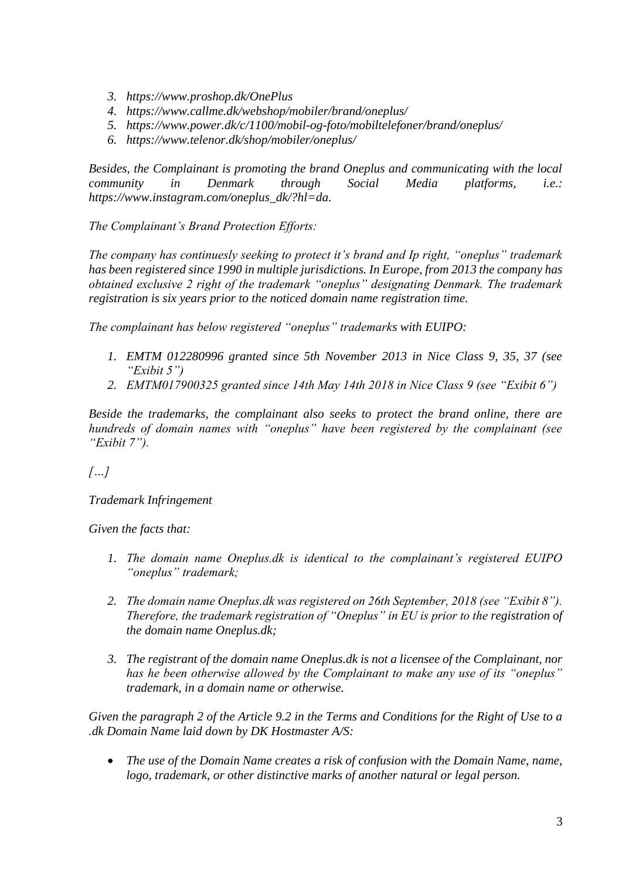- *3. https://www.proshop.dk/OnePlus*
- *4. https://www.callme.dk/webshop/mobiler/brand/oneplus/*
- *5. https://www.power.dk/c/1100/mobil-og-foto/mobiltelefoner/brand/oneplus/*
- *6. https://www.telenor.dk/shop/mobiler/oneplus/*

*Besides, the Complainant is promoting the brand Oneplus and communicating with the local community in Denmark through Social Media platforms, i.e.: https://www.instagram.com/oneplus\_dk/?hl=da.*

*The Complainant's Brand Protection Efforts:*

*The company has continuesly seeking to protect it's brand and Ip right, "oneplus" trademark has been registered since 1990 in multiple jurisdictions. In Europe, from 2013 the company has obtained exclusive 2 right of the trademark "oneplus" designating Denmark. The trademark registration is six years prior to the noticed domain name registration time.*

*The complainant has below registered "oneplus" trademarks with EUIPO:*

- *1. EMTM 012280996 granted since 5th November 2013 in Nice Class 9, 35, 37 (see "Exibit 5")*
- *2. EMTM017900325 granted since 14th May 14th 2018 in Nice Class 9 (see "Exibit 6")*

*Beside the trademarks, the complainant also seeks to protect the brand online, there are hundreds of domain names with "oneplus" have been registered by the complainant (see "Exibit 7").*

*[…]*

*Trademark Infringement* 

*Given the facts that:*

- *1. The domain name Oneplus.dk is identical to the complainant's registered EUIPO "oneplus" trademark;*
- *2. The domain name Oneplus.dk was registered on 26th September, 2018 (see "Exibit 8"). Therefore, the trademark registration of "Oneplus" in EU is prior to the registration of the domain name Oneplus.dk;*
- *3. The registrant of the domain name Oneplus.dk is not a licensee of the Complainant, nor has he been otherwise allowed by the Complainant to make any use of its "oneplus" trademark, in a domain name or otherwise.*

*Given the paragraph 2 of the Article 9.2 in the Terms and Conditions for the Right of Use to a .dk Domain Name laid down by DK Hostmaster A/S:*

• *The use of the Domain Name creates a risk of confusion with the Domain Name, name, logo, trademark, or other distinctive marks of another natural or legal person.*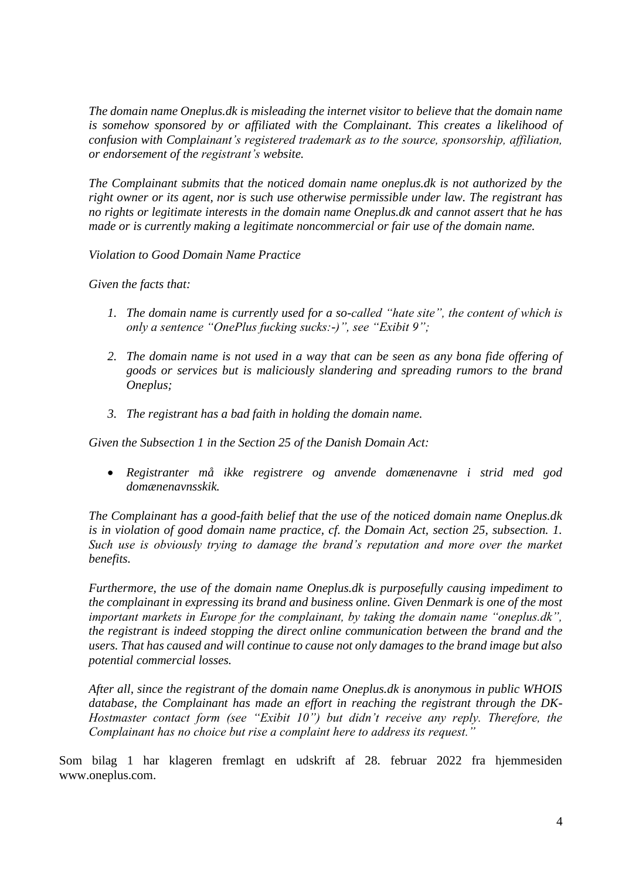*The domain name Oneplus.dk is misleading the internet visitor to believe that the domain name*  is somehow sponsored by or affiliated with the Complainant. This creates a likelihood of *confusion with Complainant's registered trademark as to the source, sponsorship, affiliation, or endorsement of the registrant's website.*

*The Complainant submits that the noticed domain name oneplus.dk is not authorized by the right owner or its agent, nor is such use otherwise permissible under law. The registrant has no rights or legitimate interests in the domain name Oneplus.dk and cannot assert that he has made or is currently making a legitimate noncommercial or fair use of the domain name.*

*Violation to Good Domain Name Practice* 

*Given the facts that:*

- *1. The domain name is currently used for a so-called "hate site", the content of which is only a sentence "OnePlus fucking sucks:-)", see "Exibit 9";*
- *2. The domain name is not used in a way that can be seen as any bona fide offering of goods or services but is maliciously slandering and spreading rumors to the brand Oneplus;*
- *3. The registrant has a bad faith in holding the domain name.*

*Given the Subsection 1 in the Section 25 of the Danish Domain Act:*

• *Registranter må ikke registrere og anvende domænenavne i strid med god domænenavnsskik.*

*The Complainant has a good-faith belief that the use of the noticed domain name Oneplus.dk is in violation of good domain name practice, cf. the Domain Act, section 25, subsection. 1. Such use is obviously trying to damage the brand's reputation and more over the market benefits.*

*Furthermore, the use of the domain name Oneplus.dk is purposefully causing impediment to the complainant in expressing its brand and business online. Given Denmark is one of the most important markets in Europe for the complainant, by taking the domain name "oneplus.dk", the registrant is indeed stopping the direct online communication between the brand and the users. That has caused and will continue to cause not only damages to the brand image but also potential commercial losses.*

*After all, since the registrant of the domain name Oneplus.dk is anonymous in public WHOIS database, the Complainant has made an effort in reaching the registrant through the DK-Hostmaster contact form (see "Exibit 10") but didn't receive any reply. Therefore, the Complainant has no choice but rise a complaint here to address its request."*

Som bilag 1 har klageren fremlagt en udskrift af 28. februar 2022 fra hjemmesiden www.oneplus.com.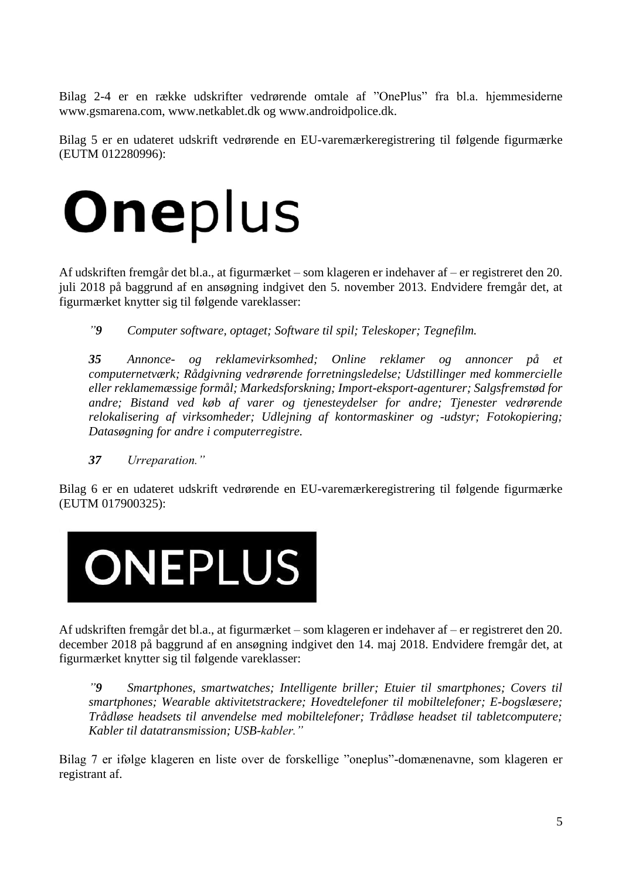Bilag 2-4 er en række udskrifter vedrørende omtale af "OnePlus" fra bl.a. hjemmesiderne www.gsmarena.com, www.netkablet.dk og www.androidpolice.dk.

Bilag 5 er en udateret udskrift vedrørende en EU-varemærkeregistrering til følgende figurmærke (EUTM 012280996):



Af udskriften fremgår det bl.a., at figurmærket – som klageren er indehaver af – er registreret den 20. juli 2018 på baggrund af en ansøgning indgivet den 5. november 2013. Endvidere fremgår det, at figurmærket knytter sig til følgende vareklasser:

*"9 Computer software, optaget; Software til spil; Teleskoper; Tegnefilm.*

*35 Annonce- og reklamevirksomhed; Online reklamer og annoncer på et computernetværk; Rådgivning vedrørende forretningsledelse; Udstillinger med kommercielle eller reklamemæssige formål; Markedsforskning; Import-eksport-agenturer; Salgsfremstød for andre; Bistand ved køb af varer og tjenesteydelser for andre; Tjenester vedrørende relokalisering af virksomheder; Udlejning af kontormaskiner og -udstyr; Fotokopiering; Datasøgning for andre i computerregistre.*

*37 Urreparation."*

Bilag 6 er en udateret udskrift vedrørende en EU-varemærkeregistrering til følgende figurmærke (EUTM 017900325):



Af udskriften fremgår det bl.a., at figurmærket – som klageren er indehaver af – er registreret den 20. december 2018 på baggrund af en ansøgning indgivet den 14. maj 2018. Endvidere fremgår det, at figurmærket knytter sig til følgende vareklasser:

*"9 Smartphones, smartwatches; Intelligente briller; Etuier til smartphones; Covers til smartphones; Wearable aktivitetstrackere; Hovedtelefoner til mobiltelefoner; E-bogslæsere; Trådløse headsets til anvendelse med mobiltelefoner; Trådløse headset til tabletcomputere; Kabler til datatransmission; USB-kabler."*

Bilag 7 er ifølge klageren en liste over de forskellige "oneplus"-domænenavne, som klageren er registrant af.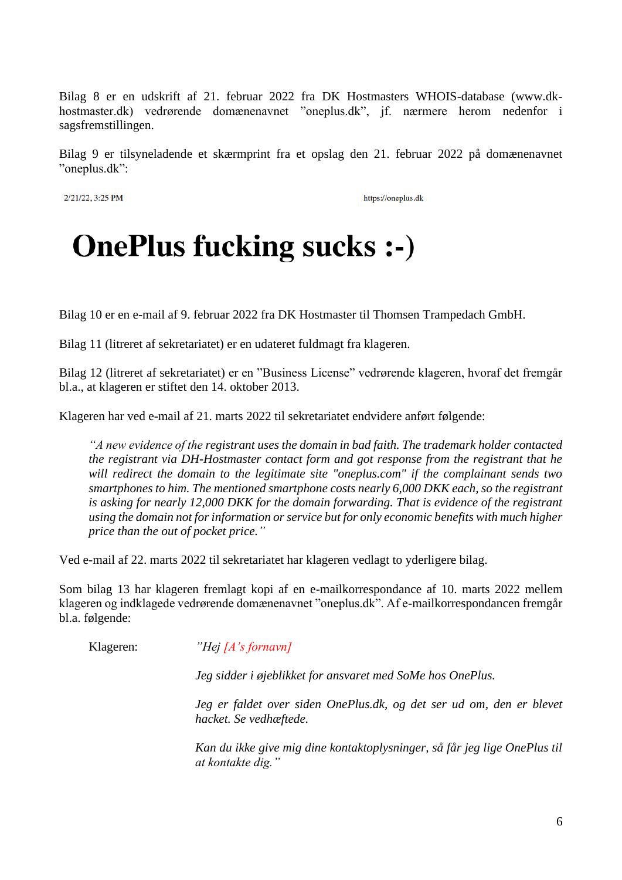Bilag 8 er en udskrift af 21. februar 2022 fra DK Hostmasters WHOIS-database (www.dkhostmaster.dk) vedrørende domænenavnet "oneplus.dk", jf. nærmere herom nedenfor i sagsfremstillingen.

Bilag 9 er tilsyneladende et skærmprint fra et opslag den 21. februar 2022 på domænenavnet "oneplus.dk":

2/21/22, 3:25 PM

https://oneplus.dk

# **OnePlus fucking sucks :-)**

Bilag 10 er en e-mail af 9. februar 2022 fra DK Hostmaster til Thomsen Trampedach GmbH.

Bilag 11 (litreret af sekretariatet) er en udateret fuldmagt fra klageren.

Bilag 12 (litreret af sekretariatet) er en "Business License" vedrørende klageren, hvoraf det fremgår bl.a., at klageren er stiftet den 14. oktober 2013.

Klageren har ved e-mail af 21. marts 2022 til sekretariatet endvidere anført følgende:

*"A new evidence of the registrant uses the domain in bad faith. The trademark holder contacted the registrant via DH-Hostmaster contact form and got response from the registrant that he will redirect the domain to the legitimate site "oneplus.com" if the complainant sends two smartphones to him. The mentioned smartphone costs nearly 6,000 DKK each, so the registrant is asking for nearly 12,000 DKK for the domain forwarding. That is evidence of the registrant using the domain not for information or service but for only economic benefits with much higher price than the out of pocket price."*

Ved e-mail af 22. marts 2022 til sekretariatet har klageren vedlagt to yderligere bilag.

Som bilag 13 har klageren fremlagt kopi af en e-mailkorrespondance af 10. marts 2022 mellem klageren og indklagede vedrørende domænenavnet "oneplus.dk". Af e-mailkorrespondancen fremgår bl.a. følgende:

Klageren: *"Hej [A's fornavn]*

*Jeg sidder i øjeblikket for ansvaret med SoMe hos OnePlus.*

*Jeg er faldet over siden OnePlus.dk, og det ser ud om, den er blevet hacket. Se vedhæftede.*

*Kan du ikke give mig dine kontaktoplysninger, så får jeg lige OnePlus til at kontakte dig."*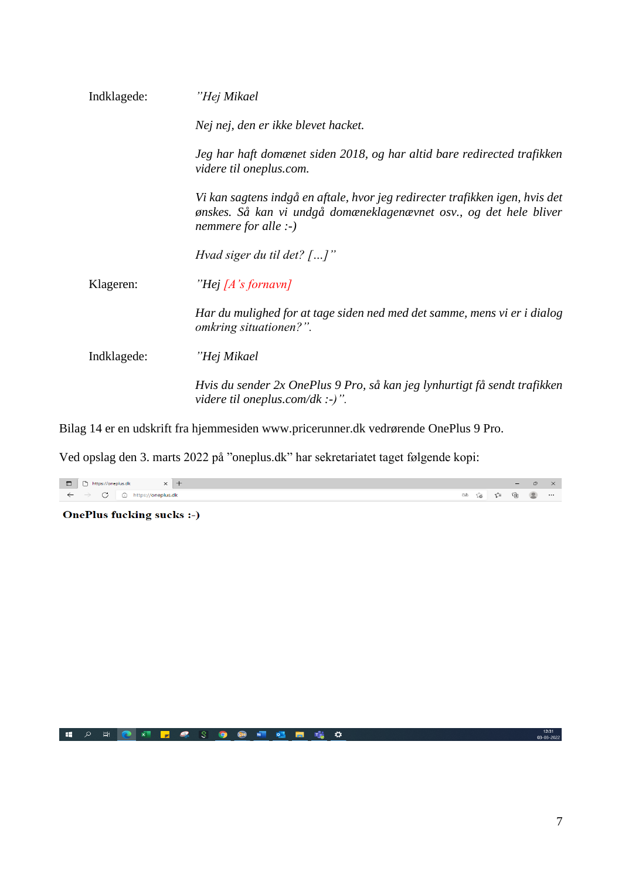| Jeg har haft domænet siden 2018, og har altid bare redirected trafikken                                                                            |
|----------------------------------------------------------------------------------------------------------------------------------------------------|
| Vi kan sagtens indgå en aftale, hvor jeg redirecter trafikken igen, hvis det<br>ønskes. Så kan vi undgå domæneklagenævnet osv., og det hele bliver |
|                                                                                                                                                    |
|                                                                                                                                                    |
| Har du mulighed for at tage siden ned med det samme, mens vi er i dialog                                                                           |
|                                                                                                                                                    |
| Hvis du sender 2x OnePlus 9 Pro, så kan jeg lynhurtigt få sendt trafikken                                                                          |
|                                                                                                                                                    |

Bilag 14 er en udskrift fra hjemmesiden www.pricerunner.dk vedrørende OnePlus 9 Pro.

Ved opslag den 3. marts 2022 på "oneplus.dk" har sekretariatet taget følgende kopi:

| $\Box$       | $\Box$     | $\Box$     | $\Box$ | $\Box$ | $\Box$ |
|--------------|------------|------------|--------|--------|--------|
| $\leftarrow$ | $\bigcirc$ | $\bigcirc$ | $\bot$ | $\bot$ |        |
| $\leftarrow$ | $\bigcirc$ | $\bigcirc$ | $\bot$ | $\bot$ |        |
| $\leftarrow$ | $\bigcirc$ | $\bigcirc$ | $\bot$ | $\bot$ |        |

**OnePlus fucking sucks :- )** 

12:31<br>03-03-2022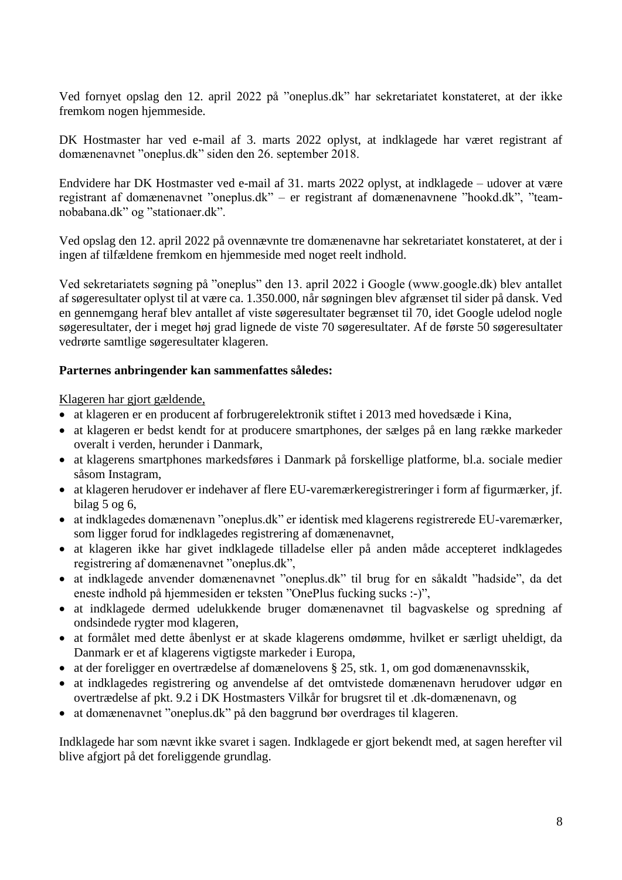Ved fornyet opslag den 12. april 2022 på "oneplus.dk" har sekretariatet konstateret, at der ikke fremkom nogen hjemmeside.

DK Hostmaster har ved e-mail af 3. marts 2022 oplyst, at indklagede har været registrant af domænenavnet "oneplus.dk" siden den 26. september 2018.

Endvidere har DK Hostmaster ved e-mail af 31. marts 2022 oplyst, at indklagede – udover at være registrant af domænenavnet "oneplus.dk" – er registrant af domænenavnene "hookd.dk", "teamnobabana.dk" og "stationaer.dk".

Ved opslag den 12. april 2022 på ovennævnte tre domænenavne har sekretariatet konstateret, at der i ingen af tilfældene fremkom en hjemmeside med noget reelt indhold.

Ved sekretariatets søgning på "oneplus" den 13. april 2022 i Google (www.google.dk) blev antallet af søgeresultater oplyst til at være ca. 1.350.000, når søgningen blev afgrænset til sider på dansk. Ved en gennemgang heraf blev antallet af viste søgeresultater begrænset til 70, idet Google udelod nogle søgeresultater, der i meget høj grad lignede de viste 70 søgeresultater. Af de første 50 søgeresultater vedrørte samtlige søgeresultater klageren.

#### **Parternes anbringender kan sammenfattes således:**

Klageren har gjort gældende,

- at klageren er en producent af forbrugerelektronik stiftet i 2013 med hovedsæde i Kina,
- at klageren er bedst kendt for at producere smartphones, der sælges på en lang række markeder overalt i verden, herunder i Danmark,
- at klagerens smartphones markedsføres i Danmark på forskellige platforme, bl.a. sociale medier såsom Instagram,
- at klageren herudover er indehaver af flere EU-varemærkeregistreringer i form af figurmærker, jf. bilag 5 og 6,
- at indklagedes domænenavn "oneplus.dk" er identisk med klagerens registrerede EU-varemærker, som ligger forud for indklagedes registrering af domænenavnet,
- at klageren ikke har givet indklagede tilladelse eller på anden måde accepteret indklagedes registrering af domænenavnet "oneplus.dk",
- at indklagede anvender domænenavnet "oneplus.dk" til brug for en såkaldt "hadside", da det eneste indhold på hjemmesiden er teksten "OnePlus fucking sucks :-)",
- at indklagede dermed udelukkende bruger domænenavnet til bagvaskelse og spredning af ondsindede rygter mod klageren,
- at formålet med dette åbenlyst er at skade klagerens omdømme, hvilket er særligt uheldigt, da Danmark er et af klagerens vigtigste markeder i Europa,
- at der foreligger en overtrædelse af domænelovens § 25, stk. 1, om god domænenavnsskik,
- at indklagedes registrering og anvendelse af det omtvistede domænenavn herudover udgør en overtrædelse af pkt. 9.2 i DK Hostmasters Vilkår for brugsret til et .dk-domænenavn, og
- at domænenavnet "oneplus.dk" på den baggrund bør overdrages til klageren.

Indklagede har som nævnt ikke svaret i sagen. Indklagede er gjort bekendt med, at sagen herefter vil blive afgjort på det foreliggende grundlag.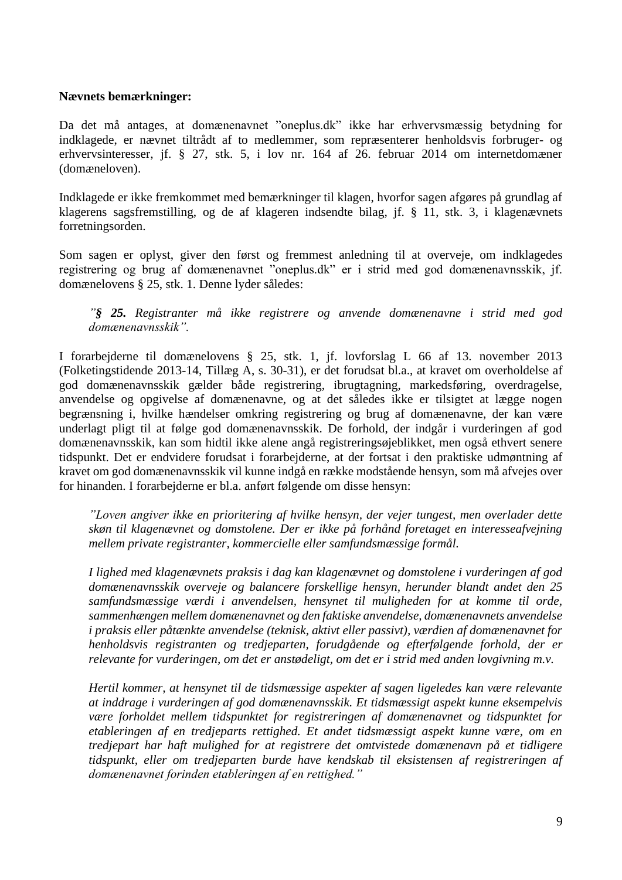#### **Nævnets bemærkninger:**

Da det må antages, at domænenavnet "oneplus.dk" ikke har erhvervsmæssig betydning for indklagede, er nævnet tiltrådt af to medlemmer, som repræsenterer henholdsvis forbruger- og erhvervsinteresser, jf. § 27, stk. 5, i lov nr. 164 af 26. februar 2014 om internetdomæner (domæneloven).

Indklagede er ikke fremkommet med bemærkninger til klagen, hvorfor sagen afgøres på grundlag af klagerens sagsfremstilling, og de af klageren indsendte bilag, jf. § 11, stk. 3, i klagenævnets forretningsorden.

Som sagen er oplyst, giver den først og fremmest anledning til at overveje, om indklagedes registrering og brug af domænenavnet "oneplus.dk" er i strid med god domænenavnsskik, jf. domænelovens § 25, stk. 1. Denne lyder således:

*"§ 25. Registranter må ikke registrere og anvende domænenavne i strid med god domænenavnsskik".*

I forarbejderne til domænelovens § 25, stk. 1, jf. lovforslag L 66 af 13. november 2013 (Folketingstidende 2013-14, Tillæg A, s. 30-31), er det forudsat bl.a., at kravet om overholdelse af god domænenavnsskik gælder både registrering, ibrugtagning, markedsføring, overdragelse, anvendelse og opgivelse af domænenavne, og at det således ikke er tilsigtet at lægge nogen begrænsning i, hvilke hændelser omkring registrering og brug af domænenavne, der kan være underlagt pligt til at følge god domænenavnsskik. De forhold, der indgår i vurderingen af god domænenavnsskik, kan som hidtil ikke alene angå registreringsøjeblikket, men også ethvert senere tidspunkt. Det er endvidere forudsat i forarbejderne, at der fortsat i den praktiske udmøntning af kravet om god domænenavnsskik vil kunne indgå en række modstående hensyn, som må afvejes over for hinanden. I forarbejderne er bl.a. anført følgende om disse hensyn:

*"Loven angiver ikke en prioritering af hvilke hensyn, der vejer tungest, men overlader dette skøn til klagenævnet og domstolene. Der er ikke på forhånd foretaget en interesseafvejning mellem private registranter, kommercielle eller samfundsmæssige formål.*

*I lighed med klagenævnets praksis i dag kan klagenævnet og domstolene i vurderingen af god domænenavnsskik overveje og balancere forskellige hensyn, herunder blandt andet den 25 samfundsmæssige værdi i anvendelsen, hensynet til muligheden for at komme til orde, sammenhængen mellem domænenavnet og den faktiske anvendelse, domænenavnets anvendelse i praksis eller påtænkte anvendelse (teknisk, aktivt eller passivt), værdien af domænenavnet for henholdsvis registranten og tredjeparten, forudgående og efterfølgende forhold, der er relevante for vurderingen, om det er anstødeligt, om det er i strid med anden lovgivning m.v.*

*Hertil kommer, at hensynet til de tidsmæssige aspekter af sagen ligeledes kan være relevante at inddrage i vurderingen af god domænenavnsskik. Et tidsmæssigt aspekt kunne eksempelvis være forholdet mellem tidspunktet for registreringen af domænenavnet og tidspunktet for etableringen af en tredjeparts rettighed. Et andet tidsmæssigt aspekt kunne være, om en tredjepart har haft mulighed for at registrere det omtvistede domænenavn på et tidligere tidspunkt, eller om tredjeparten burde have kendskab til eksistensen af registreringen af domænenavnet forinden etableringen af en rettighed."*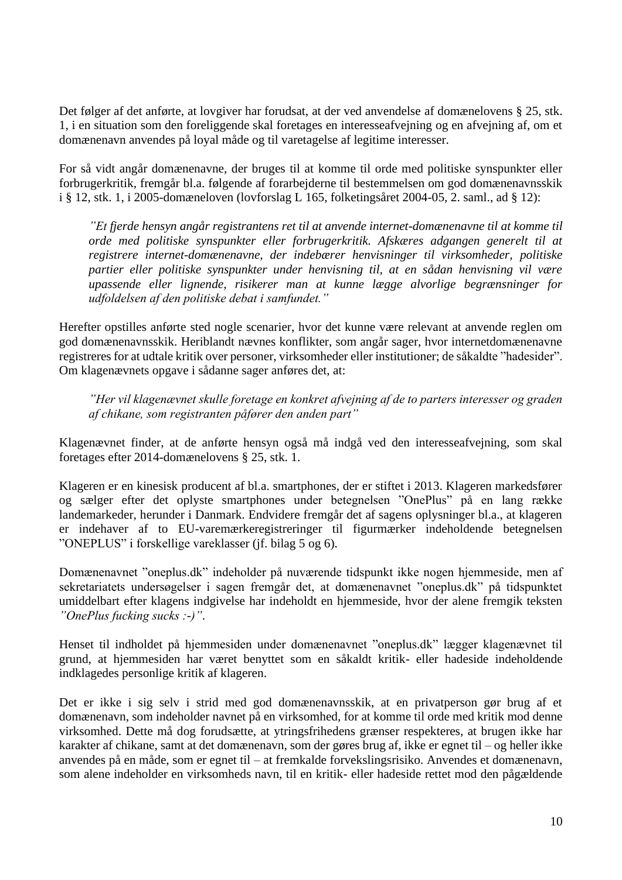Det følger af det anførte, at lovgiver har forudsat, at der ved anvendelse af domænelovens § 25, stk. 1, i en situation som den foreliggende skal foretages en interesseafvejning og en afvejning af, om et domænenavn anvendes på loyal måde og til varetagelse af legitime interesser.

For så vidt angår domænenavne, der bruges til at komme til orde med politiske synspunkter eller forbrugerkritik, fremgår bl.a. følgende af forarbejderne til bestemmelsen om god domænenavnsskik i § 12, stk. 1, i 2005-domæneloven (lovforslag L 165, folketingsåret 2004-05, 2. saml., ad § 12):

*"Et fjerde hensyn angår registrantens ret til at anvende internet-domænenavne til at komme til orde med politiske synspunkter eller forbrugerkritik. Afskæres adgangen generelt til at registrere internet-domænenavne, der indebærer henvisninger til virksomheder, politiske partier eller politiske synspunkter under henvisning til, at en sådan henvisning vil være upassende eller lignende, risikerer man at kunne lægge alvorlige begrænsninger for udfoldelsen af den politiske debat i samfundet."*

Herefter opstilles anførte sted nogle scenarier, hvor det kunne være relevant at anvende reglen om god domænenavnsskik. Heriblandt nævnes konflikter, som angår sager, hvor internetdomænenavne registreres for at udtale kritik over personer, virksomheder eller institutioner; de såkaldte "hadesider". Om klagenævnets opgave i sådanne sager anføres det, at:

*"Her vil klagenævnet skulle foretage en konkret afvejning af de to parters interesser og graden af chikane, som registranten påfører den anden part"*

Klagenævnet finder, at de anførte hensyn også må indgå ved den interesseafvejning, som skal foretages efter 2014-domænelovens § 25, stk. 1.

Klageren er en kinesisk producent af bl.a. smartphones, der er stiftet i 2013. Klageren markedsfører og sælger efter det oplyste smartphones under betegnelsen "OnePlus" på en lang række landemarkeder, herunder i Danmark. Endvidere fremgår det af sagens oplysninger bl.a., at klageren er indehaver af to EU-varemærkeregistreringer til figurmærker indeholdende betegnelsen "ONEPLUS" i forskellige vareklasser (jf. bilag 5 og 6).

Domænenavnet "oneplus.dk" indeholder på nuværende tidspunkt ikke nogen hjemmeside, men af sekretariatets undersøgelser i sagen fremgår det, at domænenavnet "oneplus.dk" på tidspunktet umiddelbart efter klagens indgivelse har indeholdt en hjemmeside, hvor der alene fremgik teksten *"OnePlus fucking sucks :-)"*.

Henset til indholdet på hjemmesiden under domænenavnet "oneplus.dk" lægger klagenævnet til grund, at hjemmesiden har været benyttet som en såkaldt kritik- eller hadeside indeholdende indklagedes personlige kritik af klageren.

Det er ikke i sig selv i strid med god domænenavnsskik, at en privatperson gør brug af et domænenavn, som indeholder navnet på en virksomhed, for at komme til orde med kritik mod denne virksomhed. Dette må dog forudsætte, at ytringsfrihedens grænser respekteres, at brugen ikke har karakter af chikane, samt at det domænenavn, som der gøres brug af, ikke er egnet til – og heller ikke anvendes på en måde, som er egnet til – at fremkalde forvekslingsrisiko. Anvendes et domænenavn, som alene indeholder en virksomheds navn, til en kritik- eller hadeside rettet mod den pågældende